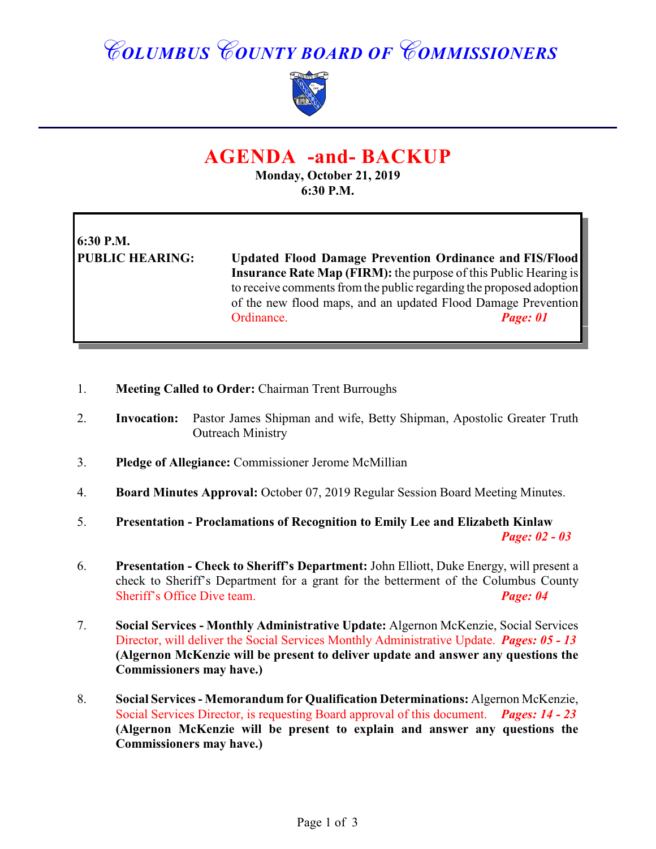## *COLUMBUS COUNTY BOARD OF COMMISSIONERS*



### **AGENDA -and- BACKUP**

**Monday, October 21, 2019 6:30 P.M.**

# **6:30 P.M.**

**PUBLIC HEARING: Updated Flood Damage Prevention Ordinance and FIS/Flood Insurance Rate Map (FIRM):** the purpose of this Public Hearing is to receive comments from the public regarding the proposed adoption of the new flood maps, and an updated Flood Damage Prevention Ordinance. *Page: 01*

- 1. **Meeting Called to Order:** Chairman Trent Burroughs
- 2. **Invocation:** Pastor James Shipman and wife, Betty Shipman, Apostolic Greater Truth Outreach Ministry
- 3. **Pledge of Allegiance:** Commissioner Jerome McMillian
- 4. **Board Minutes Approval:** October 07, 2019 Regular Session Board Meeting Minutes.
- 5. **Presentation Proclamations of Recognition to Emily Lee and Elizabeth Kinlaw** *Page: 02 - 03*
- 6. **Presentation Check to Sheriff's Department:** John Elliott, Duke Energy, will present a check to Sheriff's Department for a grant for the betterment of the Columbus County Sheriff's Office Dive team. *Page: 04*
- 7. **Social Services Monthly Administrative Update:** Algernon McKenzie, Social Services Director, will deliver the Social Services Monthly Administrative Update. *Pages: 05 - 13* **(Algernon McKenzie will be present to deliver update and answer any questions the Commissioners may have.)**
- 8. **Social Services Memorandum for Qualification Determinations:** Algernon McKenzie, Social Services Director, is requesting Board approval of this document. *Pages: 14 - 23* **(Algernon McKenzie will be present to explain and answer any questions the Commissioners may have.)**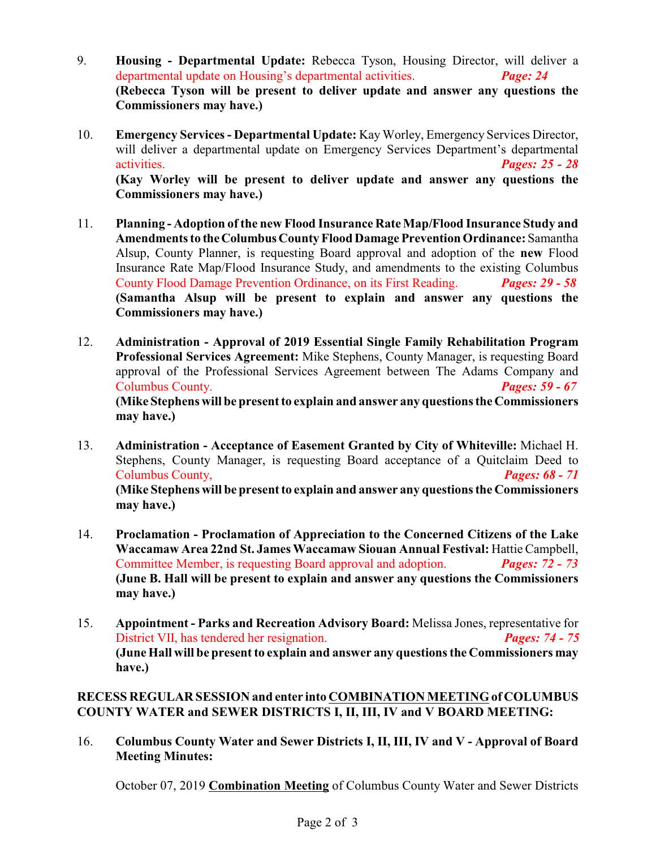- 9. **Housing Departmental Update:** Rebecca Tyson, Housing Director, will deliver a departmental update on Housing's departmental activities. *Page: 24*  **(Rebecca Tyson will be present to deliver update and answer any questions the Commissioners may have.)**
- 10. **Emergency Services Departmental Update:** Kay Worley, Emergency Services Director, will deliver a departmental update on Emergency Services Department's departmental activities. *Pages: 25 - 28* **(Kay Worley will be present to deliver update and answer any questions the Commissioners may have.)**
- 11. **Planning Adoption of the new Flood Insurance Rate Map/Flood Insurance Study and Amendments to the Columbus County Flood Damage Prevention Ordinance:** Samantha Alsup, County Planner, is requesting Board approval and adoption of the **new** Flood Insurance Rate Map/Flood Insurance Study, and amendments to the existing Columbus County Flood Damage Prevention Ordinance, on its First Reading. *Pages: 29 - 58* **(Samantha Alsup will be present to explain and answer any questions the Commissioners may have.)**
- 12. **Administration Approval of 2019 Essential Single Family Rehabilitation Program Professional Services Agreement:** Mike Stephens, County Manager, is requesting Board approval of the Professional Services Agreement between The Adams Company and Columbus County. *Pages: 59 - 67* **(Mike Stephens will be present to explain and answer any questions the Commissioners may have.)**
- 13. **Administration Acceptance of Easement Granted by City of Whiteville:** Michael H. Stephens, County Manager, is requesting Board acceptance of a Quitclaim Deed to Columbus County, *Pages: 68 - 71* **(Mike Stephens will be present to explain and answer any questions the Commissioners may have.)**
- 14. **Proclamation Proclamation of Appreciation to the Concerned Citizens of the Lake Waccamaw Area 22nd St. James Waccamaw Siouan Annual Festival:** Hattie Campbell, Committee Member, is requesting Board approval and adoption. *Pages: 72 - 73* **(June B. Hall will be present to explain and answer any questions the Commissioners may have.)**
- 15. **Appointment Parks and Recreation Advisory Board:** Melissa Jones, representative for District VII, has tendered her resignation. *Pages: 74 - 75* **(June Hall will be present to explain and answer any questionsthe Commissioners may have.)**

#### **RECESS REGULAR SESSION and enter into COMBINATION MEETING of COLUMBUS COUNTY WATER and SEWER DISTRICTS I, II, III, IV and V BOARD MEETING:**

16. **Columbus County Water and Sewer Districts I, II, III, IV and V - Approval of Board Meeting Minutes:**

October 07, 2019 **Combination Meeting** of Columbus County Water and Sewer Districts